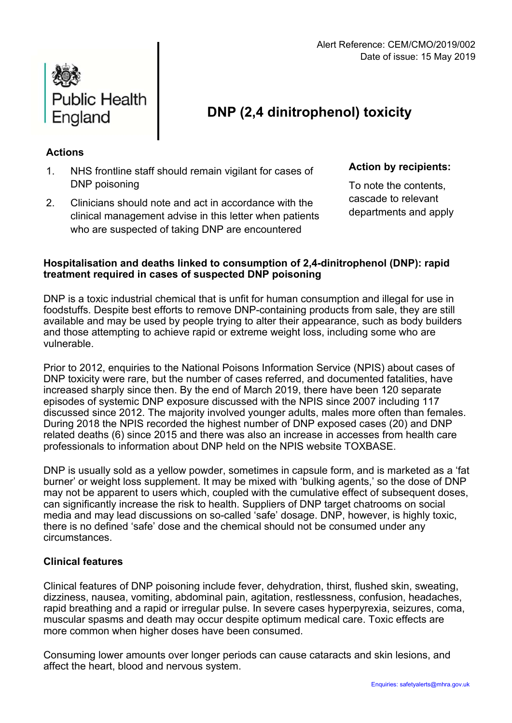

# **DNP (2,4 dinitrophenol) toxicity**

# **Actions**

- 1. NHS frontline staff should remain vigilant for cases of DNP poisoning
- 2. Clinicians should note and act in accordance with the clinical management advise in this letter when patients who are suspected of taking DNP are encountered

**Action by recipients:** 

To note the contents, cascade to relevant departments and apply

# **Hospitalisation and deaths linked to consumption of 2,4-dinitrophenol (DNP): rapid treatment required in cases of suspected DNP poisoning**

DNP is a toxic industrial chemical that is unfit for human consumption and illegal for use in foodstuffs. Despite best efforts to remove DNP-containing products from sale, they are still available and may be used by people trying to alter their appearance, such as body builders and those attempting to achieve rapid or extreme weight loss, including some who are vulnerable.

Prior to 2012, enquiries to the National Poisons Information Service (NPIS) about cases of DNP toxicity were rare, but the number of cases referred, and documented fatalities, have increased sharply since then. By the end of March 2019, there have been 120 separate episodes of systemic DNP exposure discussed with the NPIS since 2007 including 117 discussed since 2012. The majority involved younger adults, males more often than females. During 2018 the NPIS recorded the highest number of DNP exposed cases (20) and DNP related deaths (6) since 2015 and there was also an increase in accesses from health care professionals to information about DNP held on the NPIS website TOXBASE.

DNP is usually sold as a yellow powder, sometimes in capsule form, and is marketed as a 'fat burner' or weight loss supplement. It may be mixed with 'bulking agents,' so the dose of DNP may not be apparent to users which, coupled with the cumulative effect of subsequent doses, can significantly increase the risk to health. Suppliers of DNP target chatrooms on social media and may lead discussions on so-called 'safe' dosage. DNP, however, is highly toxic, there is no defined 'safe' dose and the chemical should not be consumed under any circumstances.

### **Clinical features**

Clinical features of DNP poisoning include fever, dehydration, thirst, flushed skin, sweating, dizziness, nausea, vomiting, abdominal pain, agitation, restlessness, confusion, headaches, rapid breathing and a rapid or irregular pulse. In severe cases hyperpyrexia, seizures, coma, muscular spasms and death may occur despite optimum medical care. Toxic effects are more common when higher doses have been consumed.

Consuming lower amounts over longer periods can cause cataracts and skin lesions, and affect the heart, blood and nervous system.